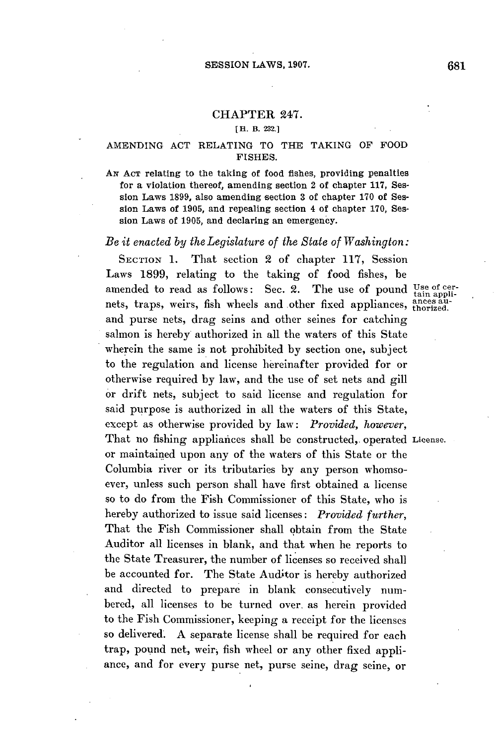#### **CHAPTER** 247.

#### **[H. B. 232.]**

## **AMENDING ACT** RELATING TO THE **TAKING** OF FOOD **FISHES.**

Ax **ACT** relating to the taking of food fishes, providing penalties for a violation thereof, amending section 2 of chapter **117,** Session Laws **1899,** also amending section **3** of chapter **170** of Session Laws of **1905,** and repealing section 4 of chapter **170,** Session Laws of **1905,** and declaring an emergency.

## *Be it enacted by the Legislature of the State of Washington:*

SECTION **1.** That section 2 of chapter **117,** Session Laws **1899,** relating to the taking of food fishes, be amended to read as follows: Sec. 2. The use of pound Use of cernets, traps, weirs, fish wheels and other fixed appliances, ances auand purse nets, drag seins and other seines for catching salmon is hereby authorized in all the waters of this State wherein the same is not prohibited **by** section one, subject to the regulation and license hereinafter provided for or otherwise required **by** law, and the use of set nets and **gill** or drift nets, subject to said license and regulation for said purpose is authorized in all the waters of this State, except as otherwise provided **by** law: *Provided, however,* That no fishing appliances shall be constructed, operated License. or maintained upon any of the waters of this State or the Columbia river or its tributaries **by** any person whomsoever, unless such person shall have first obtained a license so to do from the Fish Commissioner of this State, who is hereby authorized to issue said licenses: *Provided further,* That the Fish Commissioner shall obtain from the State Auditor all licenses in blank, and that when he reports to the State Treasurer, the number of licenses so received shall be accounted for. The State Auditor is hereby authorized and directed to prepare in blank consecutively numbered, all licenses to be turned over. as herein provided to the Fish Commissioner, keeping a receipt for the licenses so delivered. **A** separate license shall be required for each trap, pound net, weir, fish wheel or any other fixed appliance, and for every purse net, purse seine, drag seine, or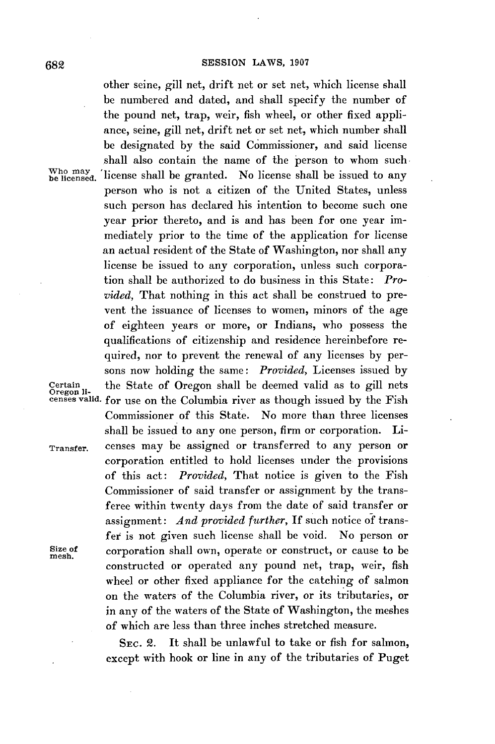other seine, gill net, drift net or set net, which license shall be numbered and dated, and shall specify the number of the pound net, trap, weir, fish wheel, or other fixed appliance, seine, gill net, drift net or set net, which number shall be designated **by** the said Commissioner, and said license shall also contain the name of the person to whom such Who may license shall be granted. No license shall be issued to any person who is not a citizen of the United States, unless such person has declared his intention to become such one year prior thereto, and is and has been for one year immediately prior to the time of the application for license an actual resident of the State of Washington, nor shall any license be issued to any corporation, unless such corporation shall be authorized to do business in this State: *Provided,* That nothing in this act shall be construed to prevent the issuance of licenses to women, minors of the age of eighteen years or more, or Indians, who possess the qualifications of citizenship and residence hereinbefore required, nor to prevent the renewal of any licenses **by** persons now holding the same: *Provided,* Licenses issued **by Certain** the State of Oregon shall be deemed valid as to gill nets **Oregon li- censes valid.** for use on the Columbia river as though issued **by** the Fish Commissioner of this State. No more than three licenses shall be issued to any one person, firm or corporation. Li-**Transfer.** censes may be assigned or transferred to any person or corporation entitled to hold licenses under the provisions of this act: *Provided,* That notice is given to the Fish Commissioner of said transfer or assignment **by** the transferee within twenty days from the date of said transfer or assignment: *And provided further, If* such notice **of** transfer is not given such license shall be void. No person or Size of **corporation shall own**, operate or construct, or cause to be **mesh**. constructed or operated any pound net, trap, weir, fish wheel or other fixed appliance for the catching of salmon on the waters of the Columbia river, or its tributaries, or in any of the waters of the State of Washington, the meshes of which are less than three inches stretched measure.

> **SEc.** 2. It shall be unlawful to take or fish for salmon, except with hook or line in any of the tributaries of Puget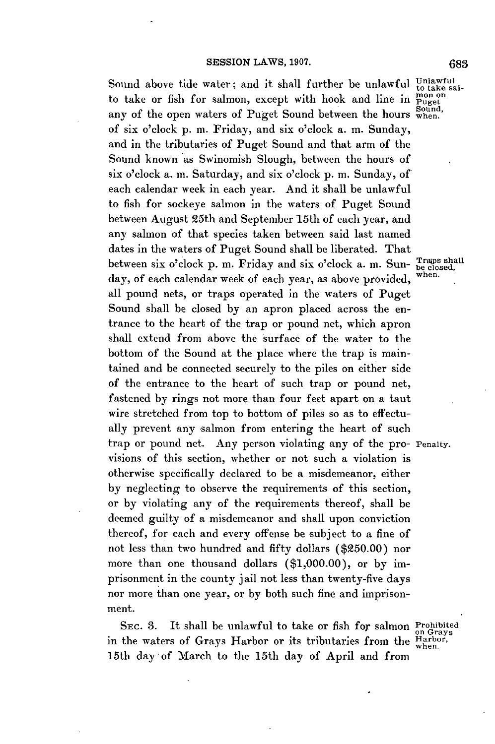## **SESSION LAWS, 1907.**

Sound above tide water; and it shall further be unlawful to take saito take or fish for salmon, except with hook and line in  $\frac{m_{\text{on}}}{\text{Suget}}$ any of the open waters of Puget Sound between the hours  $\frac{Sound}{W}$ of six o'clock **p.** m. Friday, and six o'clock a. m. Sunday, and in the tributaries of Puget Sound and that arm of the Sound known as Swinomish Slough, between the hours of six o'clock a. m. Saturday, and six o'clock **p.** m. Sunday, of each calendar week in each year. And it shall be unlawful to fish for sockeye salmon in the waters of Puget Sound between August 25th and September 15th of each year, and any salmon of that species taken between said last named dates in the waters of Puget Sound shall be liberated. That between six  $o$ 'clock  $p$ .  $m$ . Friday and six  $o$ 'clock a.  $m$ . Sun-  $\frac{3}{be \cdot closed}$ ,  $d_{av}$  of  $e \circ be \cdot closed$ ,  $g_{av}$  and  $g_{av}$  and  $g_{av}$  and  $g_{av}$  and  $g_{av}$  and  $g_{av}$  and  $g_{av}$  and  $g_{av}$  and  $g_{av}$  and  $g_{av}$  and  $g_{av}$ day, of each calendar week of each year, as above provided, all pound nets, or traps operated in the waters of Puget Sound shall be closed **by** an apron placed across the entrance to the heart of the trap or pound net, which apron shall extend from above the surface of the water to the bottom of the Sound at the place where the trap is maintained and be connected securely to the piles on either side of the entrance to the heart of such trap or pound net, fastened **by** rings not more than four feet apart on a taut wire stretched from top to bottom of piles so as to effectually prevent any salmon from entering the heart of such trap or pound net. Any person violating any of the pro- Penalty. visions of this section, whether or not such a violation is otherwise specifically declared to be a misdemeanor, either **by** neglecting to observe the requirements of this section, or **by** violating any of the requirements thereof, shall be deemed guilty of a misdemeanor and shall upon conviction thereof, for each and every offense be subject to a fine of not less than two hundred and fifty dollars **(\$250.00)** nor more than one thousand dollars **(\$1,000.00),** or **by** imprisonment in the county jail not less than twenty-five days nor more than one year, or **by** both such fine and imprisonment.

SEC. 3. It shall be unlawful to take or fish for salmon Prohibited in the waters of Grays Harbor or its tributaries from the Harbor, 15th day of March to the 15th day of April and from

on Grays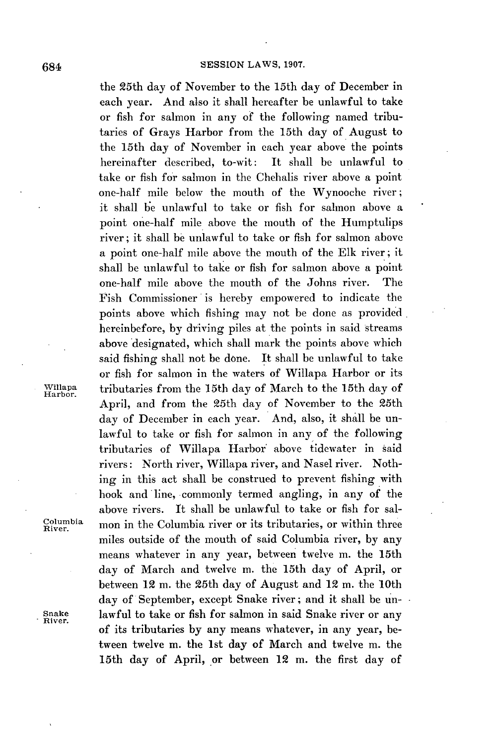the 25th day of November to the 15th day of December in each year. And also it shall hereafter be unlawful to take or fish for salmon in any of the following named tributaries of Grays Harbor from the 15th day of August to the 15th day of November in each year above the points hereinafter described, to-wit: It shall be unlawful to take or fish for salmon in the Chehalis river above a point one-half mile below the mouth of the Wynooche river; it shall be unlawful to take or fish for salmon above a point one-half mile above the mouth of the Humptulips river; it shall **be** unlawful to take or fish for salmon above a point one-half mile above the mouth of the **Elk** river; it shall be unlawful to take or fish for salmon above a point one-half mile above the mouth of the Johns river. The Fish Commissioner is hereby empowered to indicate the points above which fishing may not be done as provided hereinbefore, **by** driving piles at the points in said streams above designated, which shall mark the points above which said fishing shall not be done. It shall be unlawful to take or fish for salmon in the waters of Willapa Harbor or its **Willapa** tributaries from the 15th day of March to the 15th day of **Harbor.** April, and from the 25th day of November to the 25th day of December in each year. And, also, it shall be unlawful to take or fish for salmon in any of the following tributaries of Willapa Harbor above tidewater in said rivers: North river, Willapa river, and Nasel river. Nothing in this act shall be construed to prevent fishing with hook and line, commonly termed angling, in any of the above rivers. It shall be unlawful to take or fish for sal-**Remia** mon in the Columbia river or its tributaries, or within three miles outside of the mouth of said Columbia river, **by** any means whatever in any year, between twelve m. the 15th day of March and twelve m. the 15th day of April, or between 12 m. the 25th day of August and 12 m. the 10th day of September, except Snake river; and it shall be un-**Snake** lawful to take or fish for salmon in said Snake river or any **River.** of its tributaries **by** any means whatever, in any year, between twelve m. the 1st day of March and twelve m. the 15th day of April, or between 12 m. the first day of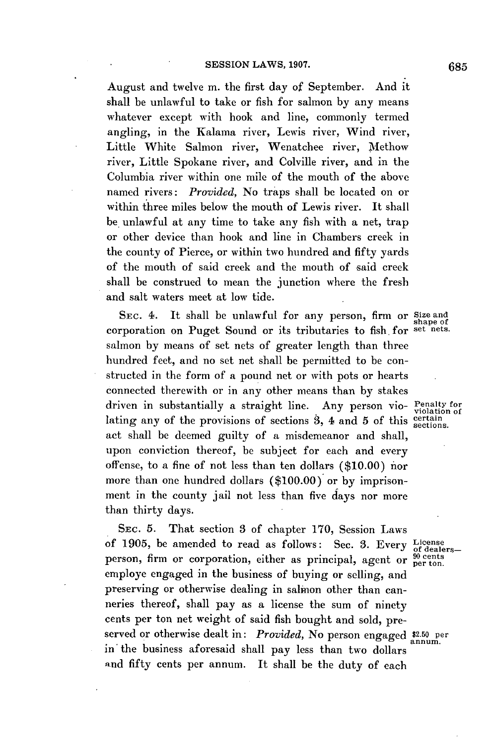August and twelve m. the first day of September. And it shall be unlawful to take or fish for salmon **by** any means whatever except with hook and line, commonly termed angling, in the Kalama river, Lewis river, Wind river, Little White Salmon river, Wenatchee river, Methow river, Little Spokane river, and Colville river, and in the Columbia river within one mile of the mouth of the above named rivers: *Provided,* No traps shall **be** located on or within three miles below the mouth of Lewis river. It shall be. unlawful at any time to take any fish with a net, trap or other device than hook and line in Chambers creek in the county of Pierce, or within two hundred and fifty yards of the mouth of said creek and the mouth of said creek shall be construed to mean the junction where the fresh and salt waters meet at low tide.

**SEc.** 4. It shall be unlawful for any person, firm or Size and corporation on Puget Sound or its tributaries to fish. for set nets. salmon **by** means of set nets of greater length than three hundred feet, and no set net shall **be** permitted to be constructed in the form of a pound net or with pots or hearts connected therewith or in any other means than **by** stakes driven in substantially a straight line. Any person vio- Penalty for lating any of the provisions of sections 3, 4 and 5 of this sections. act shall be deemed guilty of a misdemeanor and shall, upon conviction thereof, **be** subject for each and every offense, to a fine of not less than ten dollars **(\$10.00)** nor more than one hundred dollars **(\$100.00)** or **by** imprisonment in the county jail not less than five days nor more than thirty days.

**SEc. 5.** That section **3** of chapter **170,** Session Laws of 1905, be amended to read as follows: Sec. 3. Every License person, firm or corporation, either as principal, agent or  $_{\rm{per\,ton}}^{90\,\rm{cents}}$ employe engaged in the business of buying or selling, and preserving or otherwise dealing in salmon other than canneries thereof, shall pay as a license the sum of ninety cents per ton net weight of said fish bought and sold, preserved or otherwise dealt in: *Provided*, No person engaged \$2.50 per in the business aforesaid shall pay less than two dollars **and** fifty cents per annum. It shall be the duty of each

shape of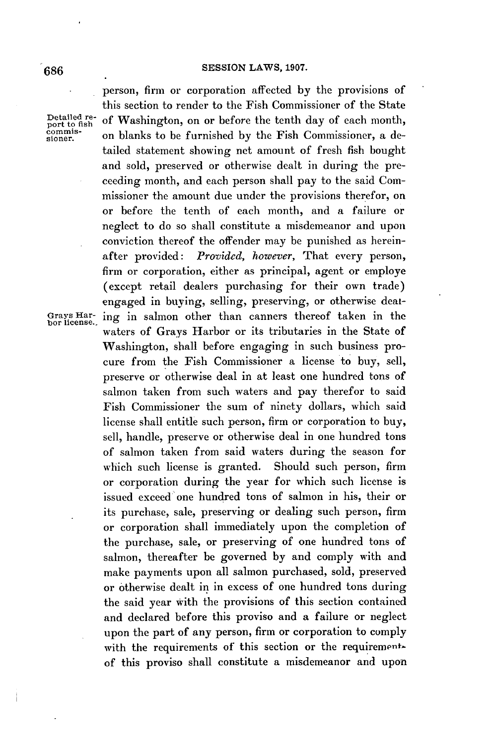# **SESSION LAWS, 1907. 686**

Detailed re-<br>port to fish

Grays Har-<br>bor license.

person, firm or corporation affected **by** the provisions of this section to render to the Fish Commissioner of the State Detailed re- of Washington, on or before the tenth day of each month, port to fish commission and commission of the  $\Gamma$ commis- on blanks to be furnished by the Fish Commissioner, a detailed statement showing net amount of fresh fish bought and sold, preserved or otherwise dealt in during the preceeding month, and each person shall pay to the said Commissioner the amount due under the provisions therefor, on or before the tenth of each month, and a failure or neglect to do so shall constitute a misdemeanor and upon conviction thereof the offender may be punished as hereinafter provided: *Provided, however,* That every person, firm or corporation, either as principal, agent or employe (except retail dealers purchasing for their own trade) engaged in buying, selling, preserving, or otherwise deating in salmon other than canners thereof taken in the waters of Grays Harbor or its tributaries in the State of Washington, shall before engaging in such business procure from the Fish Commissioner a license to buy, sell, preserve or otherwise deal in at least one hundred tons of salmon taken from such waters and pay therefor to said Fish Commissioner the sum of ninety dollars, which said license shall entitle such person, firm or corporation to buy, sell, handle, preserve or otherwise deal in one hundred tons of salmon taken from said waters during the season for which such license is granted. Should such person, firm or corporation during the year for which such license is issued exceed one hundred tons of salmon in his, their or its purchase, sale, preserving or dealing such person, firm or corporation shall immediately upon the completion of the purchase, sale, or preserving of one hundred tons of salmon, thereafter be governed **by** and comply with and make payments upon all salmon purchased, sold, preserved or otherwise dealt in in excess of one hundred tons during the said year with the provisions of this section contained and declared before this proviso and a failure or neglect upon the part of any person, firm or corporation to comply with the requirements of this section or the requirementof this proviso shall constitute a misdemeanor and upon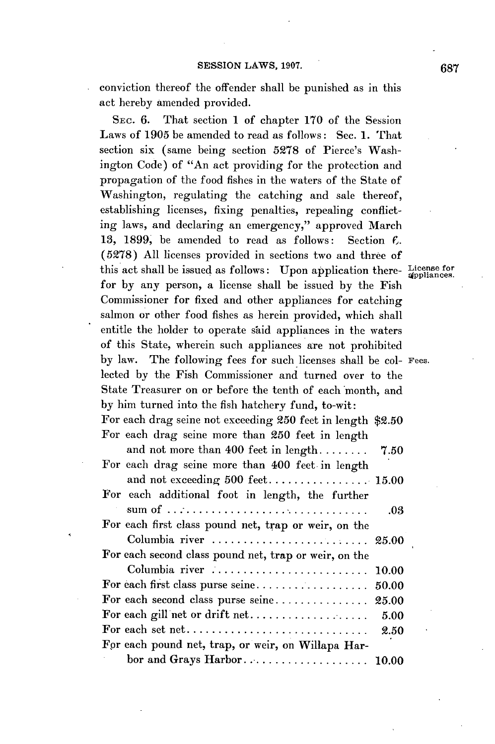conviction thereof the offender shall be punished as in this act hereby amended provided.

SEc. **6.** That section 1 of chapter **170** of the Session Laws of **1905** be amended to read as follows: Sec. **1.** That section six (same being section **5278** of Pierce's Washington Code) of "An act providing for the protection and propagation of the food fishes in the waters of the State of Washington, regulating the catching and sale thereof, establishing licenses, fixing penalties, repealing conflicting laws, and declaring an emergency," approved March **13, 1899,** be amended to read as follows: Section **f. (5278) All** licenses provided in sections two and three of this act shall be issued as follows: Upon application there- License for for **by** any person, a license shall be issued **by** the Fish Commissioner for fixed and other appliances for catching salmon or other food fishes as herein provided, which shall entitle the holder to operate said appliances in the waters of this State, wherein such appliances are not prohibited **by** law. The following fees for such licenses shall be col- Fees. lected **by** the Fish Commissioner and turned over to the State Treasurer on or before the tenth of each month, and **by** him turned into the fish hatchery fund, to-wit: For each drag seine not exceeding **250** feet in length **\$2.50** For each drag seine more than **250** feet in length and not more than  $400$  feet in length  $\ldots$ ,  $\ldots$  7.50 For each drag seine more than 400 feet in length and not exceeding **500** feet **................ 15.00** For each additional foot in length, the further *sum of* **.................................. .03** For each first class pound net, trap or weir, on the Columbia river **......................... 25.00** For each second class pound net, trap or weir, on the Columbia river **......................... 10.00** For each first class purse **seine.................. 50.00** For each second class purse **seine............... 25.00** For each gill net or drift **net...................** *5.00* For each set **net............................. 2.50** Fpr each pound net, trap, or weir, on Willapa Harbor and Grays **Harbor..................... 10.00**

**687**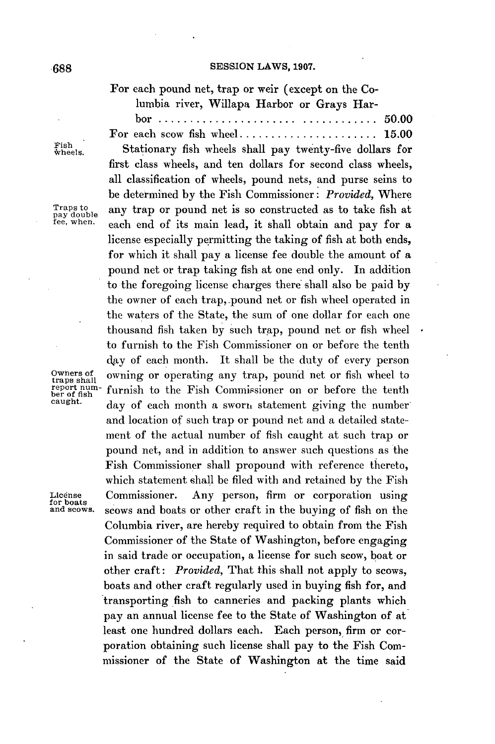## **SESSION** LAWS, **1907. -6gg8**

For each pound net, trap or weir (except on the Columbia river, Willapa Harbor or Grays Har-

|  |  |  |  | $bor \dots \dots \dots \dots \dots \dots \dots \dots \dots \dots \dots \dots \dots 50.00$ |  |
|--|--|--|--|-------------------------------------------------------------------------------------------|--|
|  |  |  |  |                                                                                           |  |

Fish<br>wheels.

Stationary fish wheels shall pay twenty-five dollars for first class wheels, and ten dollars for second class wheels, all classification of wheels, pound nets, and purse seins to be determined **by** the Fish Commissioner: *Provided,* Where Traps to any trap or pound net is so constructed as to take fish at ree, when. each end of its main lead, it shall obtain and pay for a license especially permitting the taking of fish at both ends, for which it shall pay a license fee double the amount of a pound net or trap taking fish at one end only. In addition to the foregoing license charges there shall also be paid **by** the owner of each trap,.pound net or fish wheel operated in the waters of the State, the sum of one dollar for each one thousand fish taken **by** such trap, pound net or fish wheel to furnish to the Fish Commissioner on or before the tenth day of each month. It shall be the duty of every person Owners of owning or operating any trap, pound net or fish wheel to report num-<br>report num-<br>ber of fish Turnish to the Fish Commissioner on or before the tenth report num-<br>ber of fish to the Fish Commissioner on or before the tenth<br>eaught.  $\frac{1}{2}$  day of each month a sworp statement giving the number day of each month a sworn statement giving the number and location of such trap or pound net and a detailed statement of the actual number of fish caught at such trap or pound net, and in addition to answer such questions as the Fish Commissioner shall propound with reference thereto, which statement shall be filed with and retained **by** the Fish License Commissioner. Any person, firm or corporation using<br>for boats<br>and scows, scows and boats or other craft in the buving of fish on the scows and boats or other craft in the buying of fish on the Columbia river, are hereby required to obtain from the Fish Commissioner of the State of Washington, before engaging in said trade or occupation, a license for such scow, boat or other craft: *Provided,* That this shall not apply to scows, boats and other craft regularly used in buying fish for, and transporting fish to canneries and packing plants which pay an annual license fee to the State of Washington of at least one hundred dollars each. Each person, firm or corporation obtaining such license shall pay to the Fish Commissioner of the State of Washington at the time said